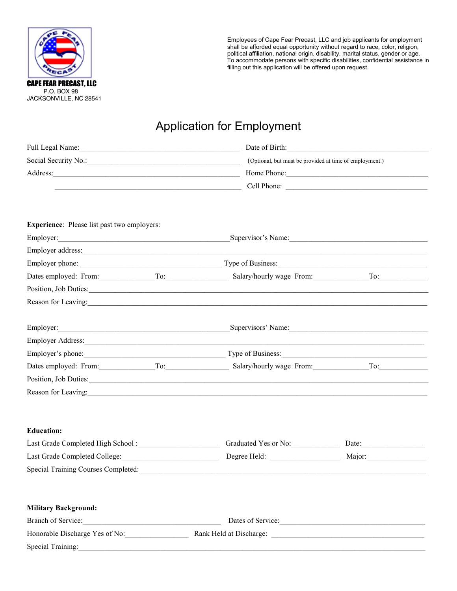

Employees of Cape Fear Precast, LLC and job applicants for employment shall be afforded equal opportunity without regard to race, color, religion, political affiliation, national origin, disability, marital status, gender or age. To accommodate persons with specific disabilities, confidential assistance in filling out this application will be offered upon request.

## Application for Employment

| Full Legal Name: 1988 Manner 1988 Manner 1988 Manner 1988 Manner 1988 Manner 1988 Manner 1988 Manner 1988 Manne      |                                                                                                                                                                                                                                | Date of Birth:     |
|----------------------------------------------------------------------------------------------------------------------|--------------------------------------------------------------------------------------------------------------------------------------------------------------------------------------------------------------------------------|--------------------|
|                                                                                                                      | (Optional, but must be provided at time of employment.)                                                                                                                                                                        |                    |
|                                                                                                                      |                                                                                                                                                                                                                                |                    |
| <u> 1989 - Johann Stone, margin eta bainar eta baina eta baina eta baina eta baina eta baina eta baina eta baina</u> |                                                                                                                                                                                                                                |                    |
|                                                                                                                      |                                                                                                                                                                                                                                |                    |
| <b>Experience:</b> Please list past two employers:                                                                   |                                                                                                                                                                                                                                |                    |
|                                                                                                                      |                                                                                                                                                                                                                                | Supervisor's Name: |
|                                                                                                                      |                                                                                                                                                                                                                                |                    |
|                                                                                                                      |                                                                                                                                                                                                                                |                    |
|                                                                                                                      | Dates employed: From: To: To: Salary/hourly wage From: To: To:                                                                                                                                                                 |                    |
|                                                                                                                      | Position, Job Duties: 2008. [1] Duties: 2008. [1] Duties: 2008. [1] Duties: 2008. [1] Duties: 2008. [1] Duties: 2008. [1] Duties: 2008. [1] Duties: 2008. [1] Duties: 2008. [1] Duties: 2008. [1] Duties: 2008. [1] Duties: 20 |                    |
|                                                                                                                      | Reason for Leaving:                                                                                                                                                                                                            |                    |
|                                                                                                                      |                                                                                                                                                                                                                                |                    |
|                                                                                                                      |                                                                                                                                                                                                                                |                    |
|                                                                                                                      |                                                                                                                                                                                                                                |                    |
|                                                                                                                      | Dates employed: From: To: To: Salary/hourly wage From: To: To:                                                                                                                                                                 |                    |
|                                                                                                                      |                                                                                                                                                                                                                                |                    |
|                                                                                                                      | Reason for Leaving:                                                                                                                                                                                                            |                    |
|                                                                                                                      |                                                                                                                                                                                                                                |                    |
| <b>Education:</b>                                                                                                    |                                                                                                                                                                                                                                |                    |
|                                                                                                                      | Graduated Yes or No:                                                                                                                                                                                                           | Date:              |
| Last Grade Completed College:                                                                                        |                                                                                                                                                                                                                                | Major:             |
| Special Training Courses Completed:                                                                                  |                                                                                                                                                                                                                                |                    |
|                                                                                                                      |                                                                                                                                                                                                                                |                    |
| <b>Military Background:</b>                                                                                          |                                                                                                                                                                                                                                |                    |
| Branch of Service:                                                                                                   |                                                                                                                                                                                                                                | Dates of Service:  |
|                                                                                                                      | Honorable Discharge Yes of No: Rank Held at Discharge: Manual Discharge 2014                                                                                                                                                   |                    |
| Special Training: 2008 and 2008 and 2008 and 2008 and 2008 and 2008 and 2008 and 2008 and 2008 and 2008 and 20       |                                                                                                                                                                                                                                |                    |